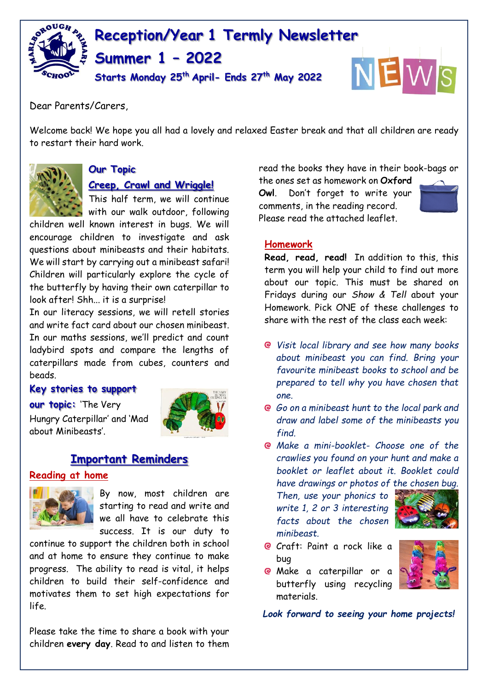

Dear Parents/Carers,

Welcome back! We hope you all had a lovely and relaxed Easter break and that all children are ready to restart their hard work.



# **Our Topic**

**Creep, Crawl and Wriggle!**

This half term, we will continue with our walk outdoor, following

children well known interest in bugs. We will encourage children to investigate and ask questions about minibeasts and their habitats. We will start by carrying out a minibeast safari! Children will particularly explore the cycle of the butterfly by having their own caterpillar to look after! Shh... it is a surprise!

In our literacy sessions, we will retell stories and write fact card about our chosen minibeast. In our maths sessions, we'll predict and count ladybird spots and compare the lengths of caterpillars made from cubes, counters and beads.

#### **Key stories to support**

**our topic:** 'The Very Hungry Caterpillar' and 'Mad about Minibeasts'.



# **Important Reminders**

#### **Reading at home**



By now, most children are starting to read and write and we all have to celebrate this success. It is our duty to

continue to support the children both in school and at home to ensure they continue to make progress. The ability to read is vital, it helps children to build their self-confidence and motivates them to set high expectations for life.

Please take the time to share a book with your children **every day**. Read to and listen to them read the books they have in their book-bags or

the ones set as homework on **Oxford Owl**. Don't forget to write your comments, in the reading record. Please read the attached leaflet.



### **Homework**

**Read, read, read!** In addition to this, this term you will help your child to find out more about our topic. This must be shared on Fridays during our *Show & Tell* about your Homework. Pick ONE of these challenges to share with the rest of the class each week:

- *Visit local library and see how many books about minibeast you can find. Bring your favourite minibeast books to school and be prepared to tell why you have chosen that one.*
- *Go on a minibeast hunt to the local park and draw and label some of the minibeasts you find.*
- *Make a mini-booklet- Choose one of the crawlies you found on your hunt and make a booklet or leaflet about it. Booklet could have drawings or photos of the chosen bug.*

*Then, use your phonics to write 1, 2 or 3 interesting facts about the chosen minibeast.*



- Craft: Paint a rock like a bug
- **@** Make a caterpillar or a butterfly using recycling materials.

*Look forward to seeing your home projects!*